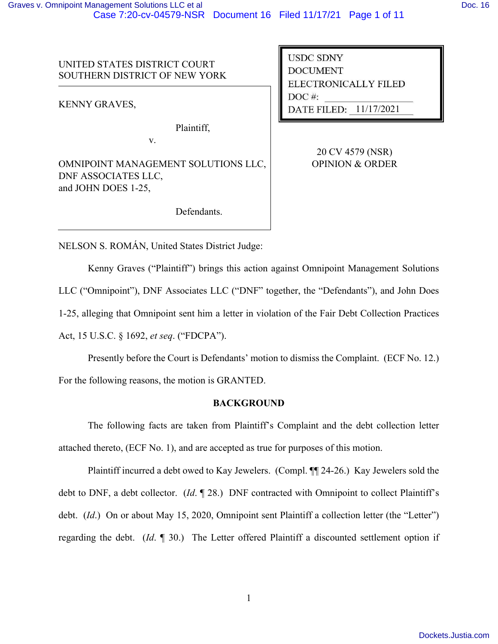UNITED STATES DISTRICT COURT SOUTHERN DISTRICT OF NEW YORK

KENNY GRAVES,

Plaintiff,

v.

OMNIPOINT MANAGEMENT SOLUTIONS LLC, DNF ASSOCIATES LLC, and JOHN DOES 1-25,

**USDC SDNY DOCUMENT** ELECTRONICALLY FILED  $DOC$ #: DATE FILED: 11/17/2021

> 20 CV 4579 (NSR) OPINION & ORDER

Defendants.

NELSON S. ROMÁN, United States District Judge:

Kenny Graves ("Plaintiff") brings this action against Omnipoint Management Solutions

LLC ("Omnipoint"), DNF Associates LLC ("DNF" together, the "Defendants"), and John Does

1-25, alleging that Omnipoint sent him a letter in violation of the Fair Debt Collection Practices

Act, 15 U.S.C. § 1692, *et seq*. ("FDCPA").

Presently before the Court is Defendants' motion to dismiss the Complaint. (ECF No. 12.) For the following reasons, the motion is GRANTED.

## **BACKGROUND**

The following facts are taken from Plaintiff's Complaint and the debt collection letter attached thereto, (ECF No. 1), and are accepted as true for purposes of this motion.

Plaintiff incurred a debt owed to Kay Jewelers. (Compl. ¶¶ 24-26.) Kay Jewelers sold the debt to DNF, a debt collector. (*Id*. ¶ 28.) DNF contracted with Omnipoint to collect Plaintiff's debt. (*Id*.) On or about May 15, 2020, Omnipoint sent Plaintiff a collection letter (the "Letter") regarding the debt. (*Id*. ¶ 30.) The Letter offered Plaintiff a discounted settlement option if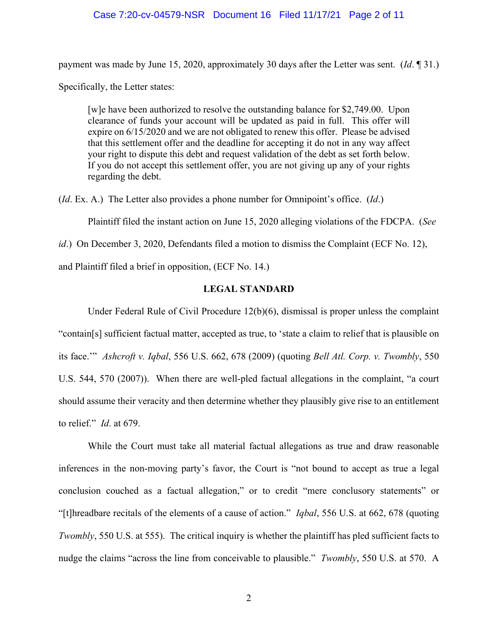#### Case 7:20-cv-04579-NSR Document 16 Filed 11/17/21 Page 2 of 11

payment was made by June 15, 2020, approximately 30 days after the Letter was sent. (*Id*. ¶ 31.)

Specifically, the Letter states:

[w]e have been authorized to resolve the outstanding balance for \$2,749.00. Upon clearance of funds your account will be updated as paid in full. This offer will expire on 6/15/2020 and we are not obligated to renew this offer. Please be advised that this settlement offer and the deadline for accepting it do not in any way affect your right to dispute this debt and request validation of the debt as set forth below. If you do not accept this settlement offer, you are not giving up any of your rights regarding the debt.

(*Id*. Ex. A.) The Letter also provides a phone number for Omnipoint's office. (*Id*.)

Plaintiff filed the instant action on June 15, 2020 alleging violations of the FDCPA. (*See*

*id*.) On December 3, 2020, Defendants filed a motion to dismiss the Complaint (ECF No. 12),

and Plaintiff filed a brief in opposition, (ECF No. 14.)

## **LEGAL STANDARD**

Under Federal Rule of Civil Procedure 12(b)(6), dismissal is proper unless the complaint "contain[s] sufficient factual matter, accepted as true, to 'state a claim to relief that is plausible on its face.'" *Ashcroft v. Iqbal*, 556 U.S. 662, 678 (2009) (quoting *Bell Atl. Corp. v. Twombly*, 550 U.S. 544, 570 (2007)). When there are well-pled factual allegations in the complaint, "a court should assume their veracity and then determine whether they plausibly give rise to an entitlement to relief." *Id*. at 679.

While the Court must take all material factual allegations as true and draw reasonable inferences in the non-moving party's favor, the Court is "not bound to accept as true a legal conclusion couched as a factual allegation," or to credit "mere conclusory statements" or "[t]hreadbare recitals of the elements of a cause of action." *Iqbal*, 556 U.S. at 662, 678 (quoting *Twombly*, 550 U.S. at 555). The critical inquiry is whether the plaintiff has pled sufficient facts to nudge the claims "across the line from conceivable to plausible." *Twombly*, 550 U.S. at 570. A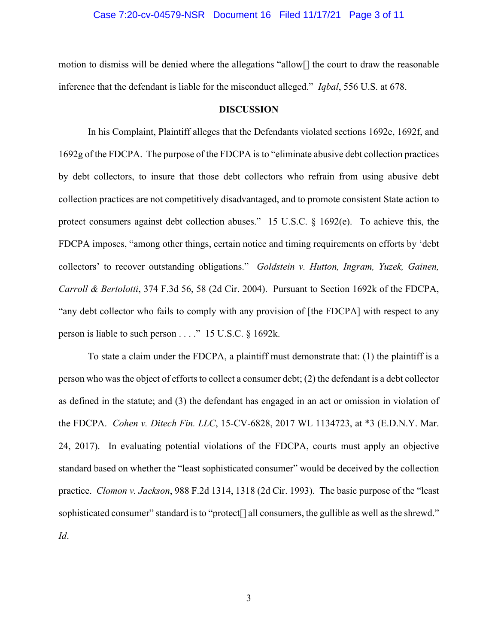#### Case 7:20-cv-04579-NSR Document 16 Filed 11/17/21 Page 3 of 11

motion to dismiss will be denied where the allegations "allow[] the court to draw the reasonable inference that the defendant is liable for the misconduct alleged." *Iqbal*, 556 U.S. at 678.

#### **DISCUSSION**

In his Complaint, Plaintiff alleges that the Defendants violated sections 1692e, 1692f, and 1692g of the FDCPA. The purpose of the FDCPA is to "eliminate abusive debt collection practices by debt collectors, to insure that those debt collectors who refrain from using abusive debt collection practices are not competitively disadvantaged, and to promote consistent State action to protect consumers against debt collection abuses." 15 U.S.C. § 1692(e). To achieve this, the FDCPA imposes, "among other things, certain notice and timing requirements on efforts by 'debt collectors' to recover outstanding obligations." *Goldstein v. Hutton, Ingram, Yuzek, Gainen, Carroll & Bertolotti*, 374 F.3d 56, 58 (2d Cir. 2004). Pursuant to Section 1692k of the FDCPA, "any debt collector who fails to comply with any provision of [the FDCPA] with respect to any person is liable to such person . . . ." 15 U.S.C. § 1692k.

To state a claim under the FDCPA, a plaintiff must demonstrate that: (1) the plaintiff is a person who was the object of efforts to collect a consumer debt; (2) the defendant is a debt collector as defined in the statute; and (3) the defendant has engaged in an act or omission in violation of the FDCPA. *Cohen v. Ditech Fin. LLC*, 15-CV-6828, 2017 WL 1134723, at \*3 (E.D.N.Y. Mar. 24, 2017). In evaluating potential violations of the FDCPA, courts must apply an objective standard based on whether the "least sophisticated consumer" would be deceived by the collection practice. *Clomon v. Jackson*, 988 F.2d 1314, 1318 (2d Cir. 1993). The basic purpose of the "least sophisticated consumer" standard is to "protect<sup>[]</sup> all consumers, the gullible as well as the shrewd." *Id*.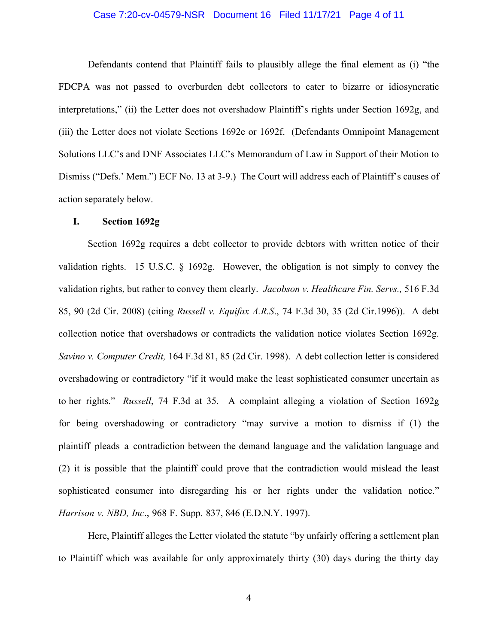### Case 7:20-cv-04579-NSR Document 16 Filed 11/17/21 Page 4 of 11

Defendants contend that Plaintiff fails to plausibly allege the final element as (i) "the FDCPA was not passed to overburden debt collectors to cater to bizarre or idiosyncratic interpretations," (ii) the Letter does not overshadow Plaintiff's rights under Section 1692g, and (iii) the Letter does not violate Sections 1692e or 1692f. (Defendants Omnipoint Management Solutions LLC's and DNF Associates LLC's Memorandum of Law in Support of their Motion to Dismiss ("Defs.' Mem.") ECF No. 13 at 3-9.) The Court will address each of Plaintiff's causes of action separately below.

#### **I. Section 1692g**

Section 1692g requires a debt collector to provide debtors with written notice of their validation rights. 15 U.S.C. § 1692g. However, the obligation is not simply to convey the validation rights, but rather to convey them clearly. *Jacobson v. Healthcare Fin. Servs.,* 516 F.3d 85, 90 (2d Cir. 2008) (citing *Russell v. Equifax A.R.S*., 74 F.3d 30, 35 (2d Cir.1996)). A debt collection notice that overshadows or contradicts the validation notice violates Section 1692g. *Savino v. Computer Credit,* 164 F.3d 81, 85 (2d Cir. 1998). A debt collection letter is considered overshadowing or contradictory "if it would make the least sophisticated consumer uncertain as to her rights." *Russell*, 74 F.3d at 35. A complaint alleging a violation of Section 1692g for being overshadowing or contradictory "may survive a motion to dismiss if (1) the plaintiff pleads a contradiction between the demand language and the validation language and (2) it is possible that the plaintiff could prove that the contradiction would mislead the least sophisticated consumer into disregarding his or her rights under the validation notice." *Harrison v. NBD, Inc*., 968 F. Supp. 837, 846 (E.D.N.Y. 1997).

Here, Plaintiff alleges the Letter violated the statute "by unfairly offering a settlement plan to Plaintiff which was available for only approximately thirty (30) days during the thirty day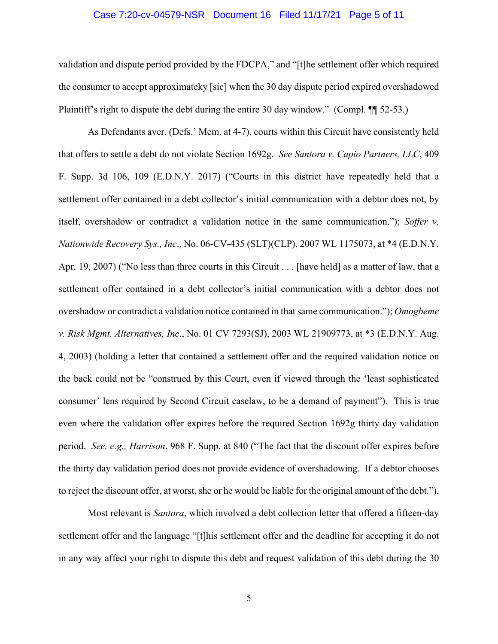#### Case 7:20-cv-04579-NSR Document 16 Filed 11/17/21 Page 5 of 11

validation and dispute period provided by the FDCPA," and "[t]he settlement offer which required the consumer to accept approximateky [sic] when the 30 day dispute period expired overshadowed Plaintiff's right to dispute the debt during the entire 30 day window." (Compl. ¶ 52-53.)

As Defendants aver, (Defs.' Mem. at 4-7), courts within this Circuit have consistently held that offers to settle a debt do not violate Section 1692g. *See Santora v. Capio Partners, LLC*, 409 F. Supp. 3d 106, 109 (E.D.N.Y. 2017) ("Courts in this district have repeatedly held that a settlement offer contained in a debt collector's initial communication with a debtor does not, by itself, overshadow or contradict a validation notice in the same communication."); *Soffer v. Nationwide Recovery Sys., Inc*., No. 06-CV-435 (SLT)(CLP), 2007 WL 1175073, at \*4 (E.D.N.Y. Apr. 19, 2007) ("No less than three courts in this Circuit . . . [have held] as a matter of law, that a settlement offer contained in a debt collector's initial communication with a debtor does not overshadow or contradict a validation notice contained in that same communication."); *Omogbeme v. Risk Mgmt. Alternatives, Inc*., No. 01 CV 7293(SJ), 2003 WL 21909773, at \*3 (E.D.N.Y. Aug. 4, 2003) (holding a letter that contained a settlement offer and the required validation notice on the back could not be "construed by this Court, even if viewed through the 'least sophisticated consumer' lens required by Second Circuit caselaw, to be a demand of payment"). This is true even where the validation offer expires before the required Section 1692g thirty day validation period. *See, e.g., Harrison*, 968 F. Supp. at 840 ("The fact that the discount offer expires before the thirty day validation period does not provide evidence of overshadowing. If a debtor chooses to reject the discount offer, at worst, she or he would be liable for the original amount of the debt.").

Most relevant is *Santora*, which involved a debt collection letter that offered a fifteen-day settlement offer and the language "[t]his settlement offer and the deadline for accepting it do not in any way affect your right to dispute this debt and request validation of this debt during the 30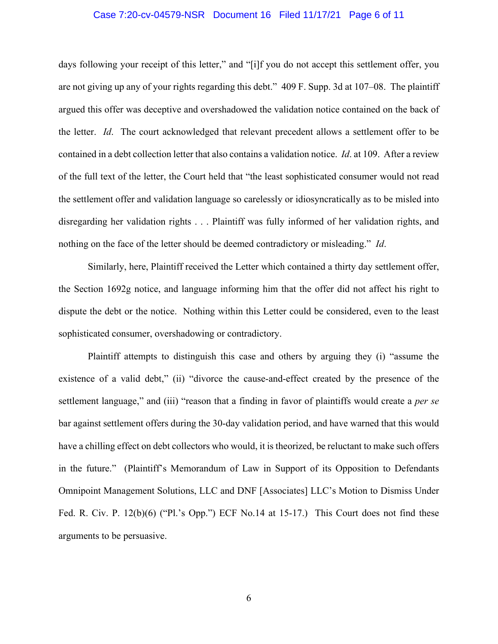#### Case 7:20-cv-04579-NSR Document 16 Filed 11/17/21 Page 6 of 11

days following your receipt of this letter," and "[i]f you do not accept this settlement offer, you are not giving up any of your rights regarding this debt." 409 F. Supp. 3d at 107–08. The plaintiff argued this offer was deceptive and overshadowed the validation notice contained on the back of the letter. *Id*. The court acknowledged that relevant precedent allows a settlement offer to be contained in a debt collection letter that also contains a validation notice. *Id*. at 109. After a review of the full text of the letter, the Court held that "the least sophisticated consumer would not read the settlement offer and validation language so carelessly or idiosyncratically as to be misled into disregarding her validation rights . . . Plaintiff was fully informed of her validation rights, and nothing on the face of the letter should be deemed contradictory or misleading." *Id*.

Similarly, here, Plaintiff received the Letter which contained a thirty day settlement offer, the Section 1692g notice, and language informing him that the offer did not affect his right to dispute the debt or the notice. Nothing within this Letter could be considered, even to the least sophisticated consumer, overshadowing or contradictory.

Plaintiff attempts to distinguish this case and others by arguing they (i) "assume the existence of a valid debt," (ii) "divorce the cause-and-effect created by the presence of the settlement language," and (iii) "reason that a finding in favor of plaintiffs would create a *per se* bar against settlement offers during the 30-day validation period, and have warned that this would have a chilling effect on debt collectors who would, it is theorized, be reluctant to make such offers in the future." (Plaintiff's Memorandum of Law in Support of its Opposition to Defendants Omnipoint Management Solutions, LLC and DNF [Associates] LLC's Motion to Dismiss Under Fed. R. Civ. P. 12(b)(6) ("Pl.'s Opp.") ECF No.14 at 15-17.) This Court does not find these arguments to be persuasive.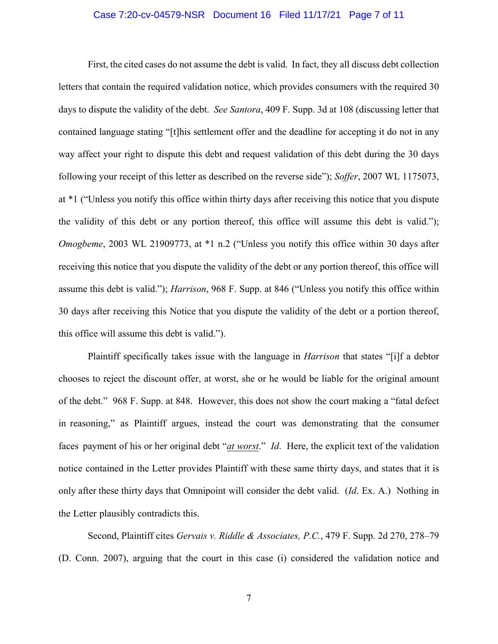### Case 7:20-cv-04579-NSR Document 16 Filed 11/17/21 Page 7 of 11

First, the cited cases do not assume the debt is valid. In fact, they all discuss debt collection letters that contain the required validation notice, which provides consumers with the required 30 days to dispute the validity of the debt. *See Santora*, 409 F. Supp. 3d at 108 (discussing letter that contained language stating "[t]his settlement offer and the deadline for accepting it do not in any way affect your right to dispute this debt and request validation of this debt during the 30 days following your receipt of this letter as described on the reverse side"); *Soffer*, 2007 WL 1175073, at \*1 ("Unless you notify this office within thirty days after receiving this notice that you dispute the validity of this debt or any portion thereof, this office will assume this debt is valid."); *Omogbeme*, 2003 WL 21909773, at \*1 n.2 ("Unless you notify this office within 30 days after receiving this notice that you dispute the validity of the debt or any portion thereof, this office will assume this debt is valid."); *Harrison*, 968 F. Supp. at 846 ("Unless you notify this office within 30 days after receiving this Notice that you dispute the validity of the debt or a portion thereof, this office will assume this debt is valid.").

Plaintiff specifically takes issue with the language in *Harrison* that states "[i]f a debtor chooses to reject the discount offer, at worst, she or he would be liable for the original amount of the debt." 968 F. Supp. at 848. However, this does not show the court making a "fatal defect in reasoning," as Plaintiff argues, instead the court was demonstrating that the consumer faces payment of his or her original debt "*at worst*." *Id*. Here, the explicit text of the validation notice contained in the Letter provides Plaintiff with these same thirty days, and states that it is only after these thirty days that Omnipoint will consider the debt valid. (*Id*. Ex. A.) Nothing in the Letter plausibly contradicts this.

Second, Plaintiff cites *Gervais v. Riddle & Associates, P.C.*, 479 F. Supp. 2d 270, 278–79 (D. Conn. 2007), arguing that the court in this case (i) considered the validation notice and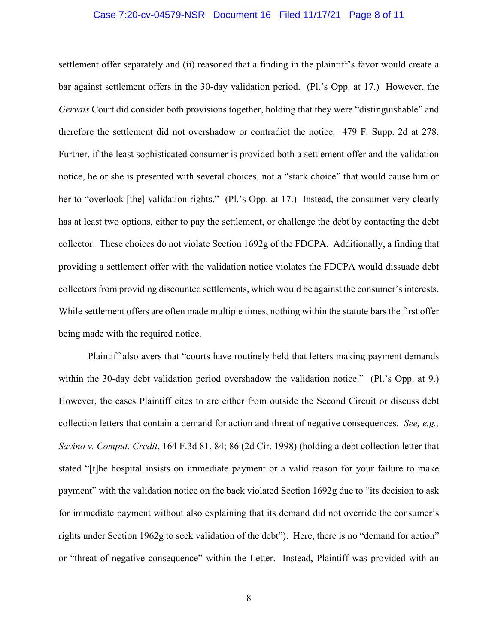### Case 7:20-cv-04579-NSR Document 16 Filed 11/17/21 Page 8 of 11

settlement offer separately and (ii) reasoned that a finding in the plaintiff's favor would create a bar against settlement offers in the 30-day validation period. (Pl.'s Opp. at 17.) However, the *Gervais* Court did consider both provisions together, holding that they were "distinguishable" and therefore the settlement did not overshadow or contradict the notice. 479 F. Supp. 2d at 278. Further, if the least sophisticated consumer is provided both a settlement offer and the validation notice, he or she is presented with several choices, not a "stark choice" that would cause him or her to "overlook [the] validation rights." (Pl.'s Opp. at 17.) Instead, the consumer very clearly has at least two options, either to pay the settlement, or challenge the debt by contacting the debt collector. These choices do not violate Section 1692g of the FDCPA. Additionally, a finding that providing a settlement offer with the validation notice violates the FDCPA would dissuade debt collectors from providing discounted settlements, which would be against the consumer's interests. While settlement offers are often made multiple times, nothing within the statute bars the first offer being made with the required notice.

Plaintiff also avers that "courts have routinely held that letters making payment demands within the 30-day debt validation period overshadow the validation notice." (Pl.'s Opp. at 9.) However, the cases Plaintiff cites to are either from outside the Second Circuit or discuss debt collection letters that contain a demand for action and threat of negative consequences. *See, e.g., Savino v. Comput. Credit*, 164 F.3d 81, 84; 86 (2d Cir. 1998) (holding a debt collection letter that stated "[t]he hospital insists on immediate payment or a valid reason for your failure to make payment" with the validation notice on the back violated Section 1692g due to "its decision to ask for immediate payment without also explaining that its demand did not override the consumer's rights under Section 1962g to seek validation of the debt"). Here, there is no "demand for action" or "threat of negative consequence" within the Letter. Instead, Plaintiff was provided with an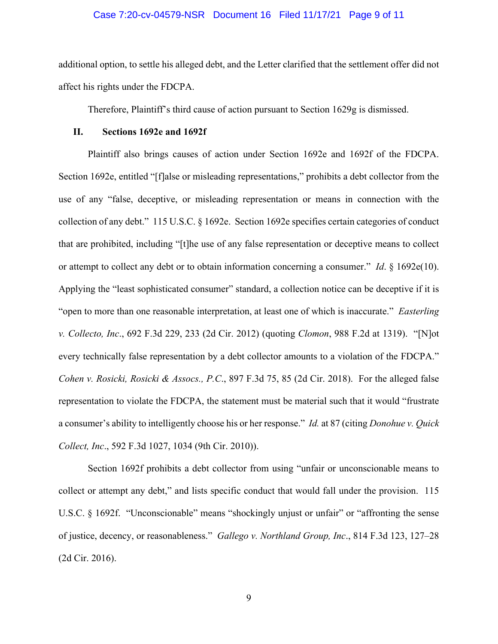#### Case 7:20-cv-04579-NSR Document 16 Filed 11/17/21 Page 9 of 11

additional option, to settle his alleged debt, and the Letter clarified that the settlement offer did not affect his rights under the FDCPA.

Therefore, Plaintiff's third cause of action pursuant to Section 1629g is dismissed.

#### **II. Sections 1692e and 1692f**

Plaintiff also brings causes of action under Section 1692e and 1692f of the FDCPA. Section 1692e, entitled "[f]alse or misleading representations," prohibits a debt collector from the use of any "false, deceptive, or misleading representation or means in connection with the collection of any debt." 115 U.S.C. § 1692e. Section 1692e specifies certain categories of conduct that are prohibited, including "[t]he use of any false representation or deceptive means to collect or attempt to collect any debt or to obtain information concerning a consumer." *Id*. § 1692e(10). Applying the "least sophisticated consumer" standard, a collection notice can be deceptive if it is "open to more than one reasonable interpretation, at least one of which is inaccurate." *Easterling v. Collecto, Inc*., 692 F.3d 229, 233 (2d Cir. 2012) (quoting *Clomon*, 988 F.2d at 1319). "[N]ot every technically false representation by a debt collector amounts to a violation of the FDCPA." *Cohen v. Rosicki, Rosicki & Assocs., P.C*., 897 F.3d 75, 85 (2d Cir. 2018). For the alleged false representation to violate the FDCPA, the statement must be material such that it would "frustrate a consumer's ability to intelligently choose his or her response." *Id.* at 87 (citing *Donohue v. Quick Collect, Inc*., 592 F.3d 1027, 1034 (9th Cir. 2010)).

Section 1692f prohibits a debt collector from using "unfair or unconscionable means to collect or attempt any debt," and lists specific conduct that would fall under the provision. 115 U.S.C. § 1692f. "Unconscionable" means "shockingly unjust or unfair" or "affronting the sense of justice, decency, or reasonableness." *Gallego v. Northland Group, Inc*., 814 F.3d 123, 127–28 (2d Cir. 2016).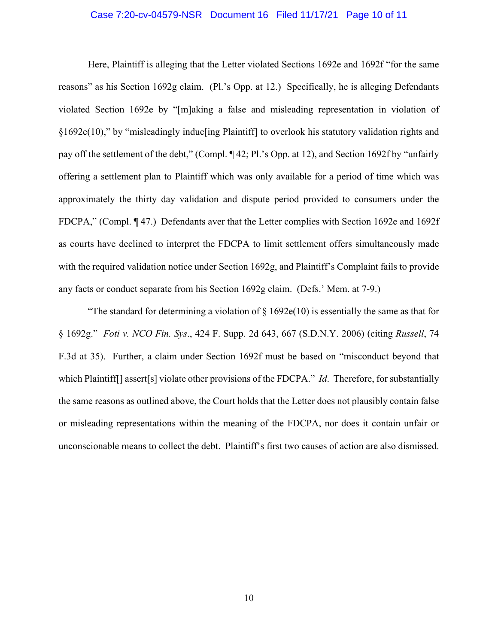### Case 7:20-cv-04579-NSR Document 16 Filed 11/17/21 Page 10 of 11

Here, Plaintiff is alleging that the Letter violated Sections 1692e and 1692f "for the same reasons" as his Section 1692g claim. (Pl.'s Opp. at 12.) Specifically, he is alleging Defendants violated Section 1692e by "[m]aking a false and misleading representation in violation of §1692e(10)," by "misleadingly induc[ing Plaintiff] to overlook his statutory validation rights and pay off the settlement of the debt," (Compl. ¶ 42; Pl.'s Opp. at 12), and Section 1692f by "unfairly offering a settlement plan to Plaintiff which was only available for a period of time which was approximately the thirty day validation and dispute period provided to consumers under the FDCPA," (Compl. ¶ 47.) Defendants aver that the Letter complies with Section 1692e and 1692f as courts have declined to interpret the FDCPA to limit settlement offers simultaneously made with the required validation notice under Section 1692g, and Plaintiff's Complaint fails to provide any facts or conduct separate from his Section 1692g claim. (Defs.' Mem. at 7-9.)

"The standard for determining a violation of  $\S 1692e(10)$  is essentially the same as that for § 1692g." *Foti v. NCO Fin. Sys*., 424 F. Supp. 2d 643, 667 (S.D.N.Y. 2006) (citing *Russell*, 74 F.3d at 35). Further, a claim under Section 1692f must be based on "misconduct beyond that which Plaintiff[] assert[s] violate other provisions of the FDCPA." *Id*. Therefore, for substantially the same reasons as outlined above, the Court holds that the Letter does not plausibly contain false or misleading representations within the meaning of the FDCPA, nor does it contain unfair or unconscionable means to collect the debt. Plaintiff's first two causes of action are also dismissed.